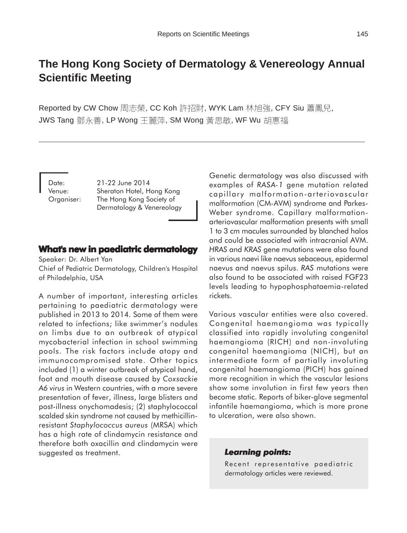# **The Hong Kong Society of Dermatology & Venereology Annual Scientific Meeting**

Reported by CW Chow 周志榮, CC Koh 許招財, WYK Lam 林旭強, CFY Siu 蕭鳳兒, JWS Tang 鄧永善, LP Wong 王麗萍, SM Wong 黃思敏, WF Wu 胡惠福

Date: 21-22 June 2014 Venue: Sheraton Hotel, Hong Kong Organiser: The Hong Kong Society of Dermatology & Venereology

#### **What's new in paediatric dermatology**

Speaker: Dr. Albert Yan Chief of Pediatric Dermatology, Children's Hospital of Philadelphia, USA

A number of important, interesting articles pertaining to paediatric dermatology were published in 2013 to 2014. Some of them were related to infections; like swimmer's nodules on limbs due to an outbreak of atypical mycobacterial infection in school swimming pools. The risk factors include atopy and immunocompromised state. Other topics included (1) a winter outbreak of atypical hand, foot and mouth disease caused by *Coxsackie A6 virus* in Western countries, with a more severe presentation of fever, illness, large blisters and post-illness onychomadesis; (2) staphylococcal scalded skin syndrome not caused by methicillinresistant *Staphylococcus aureus* (MRSA) which has a high rate of clindamycin resistance and therefore both oxacillin and clindamycin were suggested as treatment.

Genetic dermatology was also discussed with examples of *RASA-1* gene mutation related capillary malformation-arteriovascular malformation (CM-AVM) syndrome and Parkes-Weber syndrome. Capillary malformationarteriovascular malformation presents with small 1 to 3 cm macules surrounded by blanched halos and could be associated with intracranial AVM. *HRAS* and *KRAS* gene mutations were also found in various naevi like naevus sebaceous, epidermal naevus and naevus spilus. *RAS* mutations were also found to be associated with raised FGF23 levels leading to hypophosphataemia-related rickets.

Various vascular entities were also covered. Congenital haemangioma was typically classified into rapidly involuting congenital haemangioma (RICH) and non-involuting congenital haemangioma (NICH), but an intermediate form of partially involuting congenital haemangioma (PICH) has gained more recognition in which the vascular lesions show some involution in first few years then become static. Reports of biker-glove segmental infantile haemangioma, which is more prone to ulceration, were also shown.

#### *Learning points: Learning points:*

Recent representative paediatric dermatology articles were reviewed.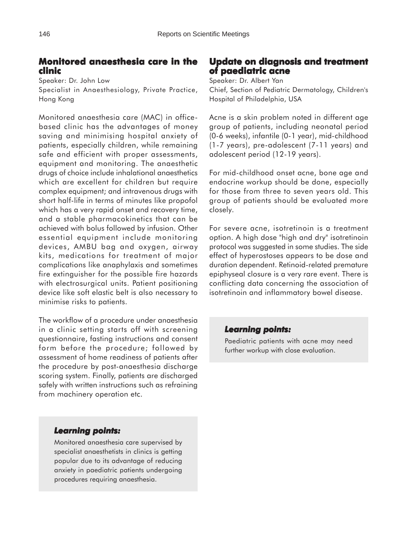# **Monitored anaesthesia care in the clinic**

Speaker: Dr. John Low Specialist in Anaesthesiology, Private Practice, Hong Kong

Monitored anaesthesia care (MAC) in officebased clinic has the advantages of money saving and minimising hospital anxiety of patients, especially children, while remaining safe and efficient with proper assessments, equipment and monitoring. The anaesthetic drugs of choice include inhalational anaesthetics which are excellent for children but require complex equipment; and intravenous drugs with short half-life in terms of minutes like propofol which has a very rapid onset and recovery time, and a stable pharmacokinetics that can be achieved with bolus followed by infusion. Other essential equipment include monitoring devices, AMBU bag and oxygen, airway kits, medications for treatment of major complications like anaphylaxis and sometimes fire extinguisher for the possible fire hazards with electrosurgical units. Patient positioning device like soft elastic belt is also necessary to minimise risks to patients.

The workflow of a procedure under anaesthesia in a clinic setting starts off with screening questionnaire, fasting instructions and consent form before the procedure; followed by assessment of home readiness of patients after the procedure by post-anaesthesia discharge scoring system. Finally, patients are discharged safely with written instructions such as refraining from machinery operation etc.

# *Learning points: Learning*

Monitored anaesthesia care supervised by specialist anaesthetists in clinics is getting popular due to its advantage of reducing anxiety in paediatric patients undergoing procedures requiring anaesthesia.

# **Update on diagnosis and treatment on diagnosis and treatment of paediatric acne**

Speaker: Dr. Albert Yan Chief, Section of Pediatric Dermatology, Children's Hospital of Philadelphia, USA

Acne is a skin problem noted in different age group of patients, including neonatal period (0-6 weeks), infantile (0-1 year), mid-childhood (1-7 years), pre-adolescent (7-11 years) and adolescent period (12-19 years).

For mid-childhood onset acne, bone age and endocrine workup should be done, especially for those from three to seven years old. This group of patients should be evaluated more closely.

For severe acne, isotretinoin is a treatment option. A high dose "high and dry" isotretinoin protocol was suggested in some studies. The side effect of hyperostoses appears to be dose and duration dependent. Retinoid-related premature epiphyseal closure is a very rare event. There is conflicting data concerning the association of isotretinoin and inflammatory bowel disease.

# *Learning points: Learning points:*

Paediatric patients with acne may need further workup with close evaluation.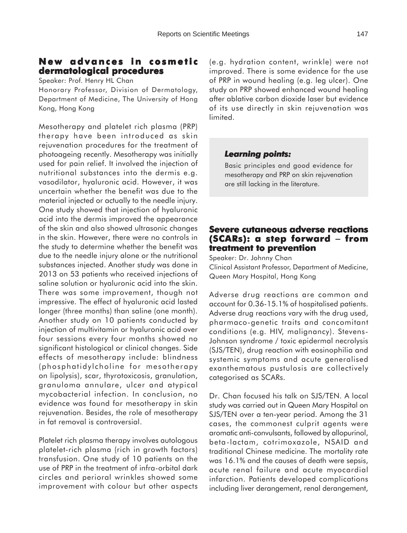# **New advances in cosmetic dermatological procedures**

Speaker: Prof. Henry HL Chan

Honorary Professor, Division of Dermatology, Department of Medicine, The University of Hong Kong, Hong Kong

Mesotherapy and platelet rich plasma (PRP) therapy have been introduced as skin rejuvenation procedures for the treatment of photoageing recently. Mesotherapy was initially used for pain relief. It involved the injection of nutritional substances into the dermis e.g. vasodilator, hyaluronic acid. However, it was uncertain whether the benefit was due to the material injected or actually to the needle injury. One study showed that injection of hyaluronic acid into the dermis improved the appearance of the skin and also showed ultrasonic changes in the skin. However, there were no controls in the study to determine whether the benefit was due to the needle injury alone or the nutritional substances injected. Another study was done in 2013 on 53 patients who received injections of saline solution or hyaluronic acid into the skin. There was some improvement, though not impressive. The effect of hyaluronic acid lasted longer (three months) than saline (one month). Another study on 10 patients conducted by injection of multivitamin or hyaluronic acid over four sessions every four months showed no significant histological or clinical changes. Side effects of mesotherapy include: blindness (phosphatidylcholine for mesotherapy on lipolysis), scar, thyrotoxicosis, granulation, granuloma annulare, ulcer and atypical mycobacterial infection. In conclusion, no evidence was found for mesotherapy in skin rejuvenation. Besides, the role of mesotherapy in fat removal is controversial.

Platelet rich plasma therapy involves autologous platelet-rich plasma (rich in growth factors) transfusion. One study of 10 patients on the use of PRP in the treatment of infra-orbital dark circles and perioral wrinkles showed some improvement with colour but other aspects (e.g. hydration content, wrinkle) were not improved. There is some evidence for the use of PRP in wound healing (e.g. leg ulcer). One study on PRP showed enhanced wound healing after ablative carbon dioxide laser but evidence of its use directly in skin rejuvenation was limited.

#### *Learning points: Learning points:*

Basic principles and good evidence for mesotherapy and PRP on skin rejuvenation are still lacking in the literature.

## **Severe cutaneous adverse reactions (SCARs): a step forward a forward** − **from treatment to prevention**

Speaker: Dr. Johnny Chan Clinical Assistant Professor, Department of Medicine, Queen Mary Hospital, Hong Kong

Adverse drug reactions are common and account for 0.36-15.1% of hospitalised patients. Adverse drug reactions vary with the drug used, pharmaco-genetic traits and concomitant conditions (e.g. HIV, malignancy). Stevens-Johnson syndrome / toxic epidermal necrolysis (SJS/TEN), drug reaction with eosinophilia and systemic symptoms and acute generalised exanthematous pustulosis are collectively categorised as SCARs.

Dr. Chan focused his talk on SJS/TEN. A local study was carried out in Queen Mary Hospital on SJS/TEN over a ten-year period. Among the 31 cases, the commonest culprit agents were aromatic anti-convulsants, followed by allopurinol, beta-lactam, cotrimoxazole, NSAID and traditional Chinese medicine. The mortality rate was 16.1% and the causes of death were sepsis, acute renal failure and acute myocardial infarction. Patients developed complications including liver derangement, renal derangement,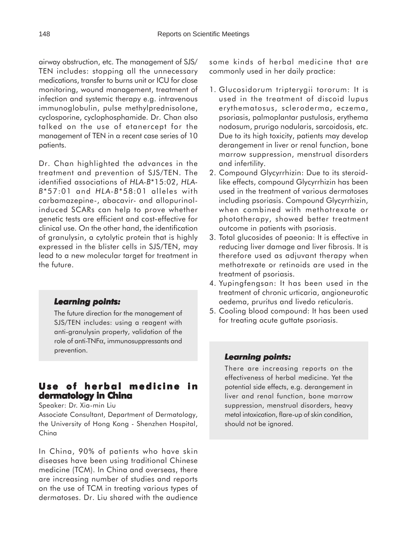airway obstruction, etc. The management of SJS/ TEN includes: stopping all the unnecessary medications, transfer to burns unit or ICU for close monitoring, wound management, treatment of infection and systemic therapy e.g. intravenous immunoglobulin, pulse methylprednisolone, cyclosporine, cyclophosphamide. Dr. Chan also talked on the use of etanercept for the management of TEN in a recent case series of 10 patients.

Dr. Chan highlighted the advances in the treatment and prevention of SJS/TEN. The identified associations of *HLA-B*\*15:02, *HLA-B*\*57:01 and *HLA-B*\*58:01 alleles with carbamazepine-, abacavir- and allopurinolinduced SCARs can help to prove whether genetic tests are efficient and cost-effective for clinical use. On the other hand, the identification of granulysin, a cytolytic protein that is highly expressed in the blister cells in SJS/TEN, may lead to a new molecular target for treatment in the future.

#### *Learning points: Learning*

The future direction for the management of SJS/TEN includes: using a reagent with anti-granulysin property, validation of the role of anti-TNFα, immunosuppressants and prevention.

# **Use of herbal medicine in dermatology in China**

Speaker: Dr. Xia-min Liu

Associate Consultant, Department of Dermatology, the University of Hong Kong - Shenzhen Hospital, China

In China, 90% of patients who have skin diseases have been using traditional Chinese medicine (TCM). In China and overseas, there are increasing number of studies and reports on the use of TCM in treating various types of dermatoses. Dr. Liu shared with the audience

some kinds of herbal medicine that are commonly used in her daily practice:

- 1. Glucosidorum tripterygii tororum: It is used in the treatment of discoid lupus erythematosus, scleroderma, eczema, psoriasis, palmoplantar pustulosis, erythema nodosum, prurigo nodularis, sarcoidosis, etc. Due to its high toxicity, patients may develop derangement in liver or renal function, bone marrow suppression, menstrual disorders and infertility.
- 2. Compound Glycyrrhizin: Due to its steroidlike effects, compound Glycyrrhizin has been used in the treatment of various dermatoses including psoriasis. Compound Glycyrrhizin, when combined with methotrexate or phototherapy, showed better treatment outcome in patients with psoriasis.
- 3. Total glucosides of paeonia: It is effective in reducing liver damage and liver fibrosis. It is therefore used as adjuvant therapy when methotrexate or retinoids are used in the treatment of psoriasis.
- 4. Yupingfengsan: It has been used in the treatment of chronic urticaria, angioneurotic oedema, pruritus and livedo reticularis.
- 5. Cooling blood compound: It has been used for treating acute guttate psoriasis.

#### *Learning points: Learning points:*

There are increasing reports on the effectiveness of herbal medicine. Yet the potential side effects, e.g. derangement in liver and renal function, bone marrow suppression, menstrual disorders, heavy metal intoxication, flare-up of skin condition, should not be ignored.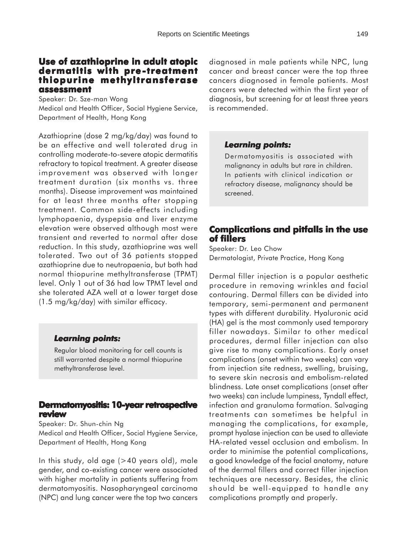# **Use of azathioprine in adult atopic dermatitis with pre-treatment -treatment thiopurine methyltransferase assessment assessment**

Speaker: Dr. Sze-man Wong Medical and Health Officer, Social Hygiene Service, Department of Health, Hong Kong

Azathioprine (dose 2 mg/kg/day) was found to be an effective and well tolerated drug in controlling moderate-to-severe atopic dermatitis refractory to topical treatment. A greater disease improvement was observed with longer treatment duration (six months vs. three months). Disease improvement was maintained for at least three months after stopping treatment. Common side-effects including lymphopaenia, dyspepsia and liver enzyme elevation were observed although most were transient and reverted to normal after dose reduction. In this study, azathioprine was well tolerated. Two out of 36 patients stopped azathioprine due to neutropaenia, but both had normal thiopurine methyltransferase (TPMT) level. Only 1 out of 36 had low TPMT level and she tolerated AZA well at a lower target dose (1.5 mg/kg/day) with similar efficacy.

# *Learning points: Learning*

Regular blood monitoring for cell counts is still warranted despite a normal thiopurine methyltransferase level.

#### **Dermatomyositis: 10-year retrospective review**

Speaker: Dr. Shun-chin Ng

Medical and Health Officer, Social Hygiene Service, Department of Health, Hong Kong

In this study, old age (>40 years old), male gender, and co-existing cancer were associated with higher mortality in patients suffering from dermatomyositis. Nasopharyngeal carcinoma (NPC) and lung cancer were the top two cancers diagnosed in male patients while NPC, lung cancer and breast cancer were the top three cancers diagnosed in female patients. Most cancers were detected within the first year of diagnosis, but screening for at least three years is recommended.

# *Learning points: Learning points:*

Dermatomyositis is associated with malignancy in adults but rare in children. In patients with clinical indication or refractory disease, malignancy should be screened.

# **Complications and pitfalls in the use of fillers**

Speaker: Dr. Leo Chow Dermatologist, Private Practice, Hong Kong

Dermal filler injection is a popular aesthetic procedure in removing wrinkles and facial contouring. Dermal fillers can be divided into temporary, semi-permanent and permanent types with different durability. Hyaluronic acid (HA) gel is the most commonly used temporary filler nowadays. Similar to other medical procedures, dermal filler injection can also give rise to many complications. Early onset complications (onset within two weeks) can vary from injection site redness, swelling, bruising, to severe skin necrosis and embolism-related blindness. Late onset complications (onset after two weeks) can include lumpiness, Tyndall effect, infection and granuloma formation. Salvaging treatments can sometimes be helpful in managing the complications, for example, prompt hyalase injection can be used to alleviate HA-related vessel occlusion and embolism. In order to minimise the potential complications, a good knowledge of the facial anatomy, nature of the dermal fillers and correct filler injection techniques are necessary. Besides, the clinic should be well-equipped to handle any complications promptly and properly.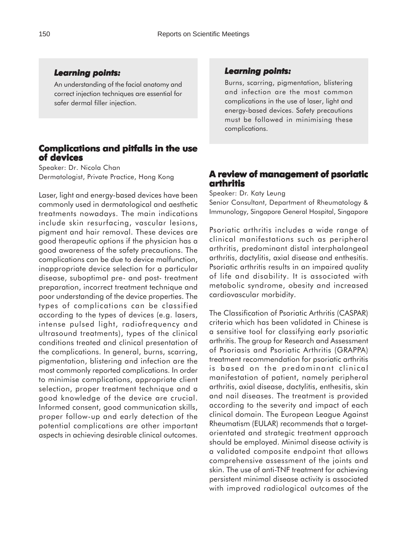#### *Learning points: Learning*

An understanding of the facial anatomy and correct injection techniques are essential for safer dermal filler injection.

# **Complications and pitfalls in the use of devices**

Speaker: Dr. Nicola Chan Dermatologist, Private Practice, Hong Kong

Laser, light and energy-based devices have been commonly used in dermatological and aesthetic treatments nowadays. The main indications include skin resurfacing, vascular lesions, pigment and hair removal. These devices are good therapeutic options if the physician has a good awareness of the safety precautions. The complications can be due to device malfunction, inappropriate device selection for a particular disease, suboptimal pre- and post- treatment preparation, incorrect treatment technique and poor understanding of the device properties. The types of complications can be classified according to the types of devices (e.g. lasers, intense pulsed light, radiofrequency and ultrasound treatments), types of the clinical conditions treated and clinical presentation of the complications. In general, burns, scarring, pigmentation, blistering and infection are the most commonly reported complications. In order to minimise complications, appropriate client selection, proper treatment technique and a good knowledge of the device are crucial. Informed consent, good communication skills, proper follow-up and early detection of the potential complications are other important aspects in achieving desirable clinical outcomes.

#### *Learning points: Learning points:*

Burns, scarring, pigmentation, blistering and infection are the most common complications in the use of laser, light and energy-based devices. Safety precautions must be followed in minimising these complications.

# **A review of management of psoriatic arthritis**

Speaker: Dr. Katy Leung

Senior Consultant, Department of Rheumatology & Immunology, Singapore General Hospital, Singapore

Psoriatic arthritis includes a wide range of clinical manifestations such as peripheral arthritis, predominant distal interphalangeal arthritis, dactylitis, axial disease and enthesitis. Psoriatic arthritis results in an impaired quality of life and disability. It is associated with metabolic syndrome, obesity and increased cardiovascular morbidity.

The Classification of Psoriatic Arthritis (CASPAR) criteria which has been validated in Chinese is a sensitive tool for classifying early psoriatic arthritis. The group for Research and Assessment of Psoriasis and Psoriatic Arthritis (GRAPPA) treatment recommendation for psoriatic arthritis is based on the predominant clinical manifestation of patient, namely peripheral arthritis, axial disease, dactylitis, enthesitis, skin and nail diseases. The treatment is provided according to the severity and impact of each clinical domain. The European League Against Rheumatism (EULAR) recommends that a targetorientated and strategic treatment approach should be employed. Minimal disease activity is a validated composite endpoint that allows comprehensive assessment of the joints and skin. The use of anti-TNF treatment for achieving persistent minimal disease activity is associated with improved radiological outcomes of the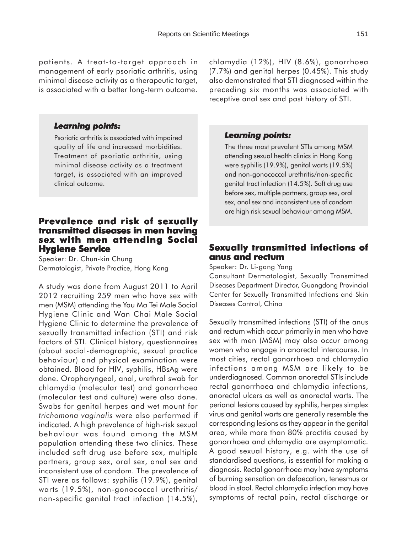patients. A treat-to-target approach in management of early psoriatic arthritis, using minimal disease activity as a therapeutic target, is associated with a better long-term outcome.

#### *Learning points: Learning*

Psoriatic arthritis is associated with impaired quality of life and increased morbidities. Treatment of psoriatic arthritis, using minimal disease activity as a treatment target, is associated with an improved clinical outcome.

## **Prevalence and risk of sexually transmitted diseases in men having sex with men attending Social x with men attending Social Hygiene Service**

Speaker: Dr. Chun-kin Chung Dermatologist, Private Practice, Hong Kong

A study was done from August 2011 to April 2012 recruiting 259 men who have sex with men (MSM) attending the Yau Ma Tei Male Social Hygiene Clinic and Wan Chai Male Social Hygiene Clinic to determine the prevalence of sexually transmitted infection (STI) and risk factors of STI. Clinical history, questionnaires (about social-demographic, sexual practice behaviour) and physical examination were obtained. Blood for HIV, syphilis, HBsAg were done. Oropharyngeal, anal, urethral swab for chlamydia (molecular test) and gonorrhoea (molecular test and culture) were also done. Swabs for genital herpes and wet mount for *trichomona vaginalis* were also performed if indicated. A high prevalence of high-risk sexual behaviour was found among the MSM population attending these two clinics. These included soft drug use before sex, multiple partners, group sex, oral sex, anal sex and inconsistent use of condom. The prevalence of STI were as follows: syphilis (19.9%), genital warts (19.5%), non-gonococcal urethritis/ non-specific genital tract infection (14.5%),

chlamydia (12%), HIV (8.6%), gonorrhoea (7.7%) and genital herpes (0.45%). This study also demonstrated that STI diagnosed within the preceding six months was associated with receptive anal sex and past history of STI.

#### *Learning points: Learning points:*

The three most prevalent STIs among MSM attending sexual health clinics in Hong Kong were syphilis (19.9%), genital warts (19.5%) and non-gonococcal urethritis/non-specific genital tract infection (14.5%). Soft drug use before sex, multiple partners, group sex, oral sex, anal sex and inconsistent use of condom are high risk sexual behaviour among MSM.

# **Sexually transmitted infections of xually transmitted infections of anus and rectum**

Speaker: Dr. Li-gang Yang

Consultant Dermatologist, Sexually Transmitted Diseases Department Director, Guangdong Provincial Center for Sexually Transmitted Infections and Skin Diseases Control, China

Sexually transmitted infections (STI) of the anus and rectum which occur primarily in men who have sex with men (MSM) may also occur among women who engage in anorectal intercourse. In most cities, rectal gonorrhoea and chlamydia infections among MSM are likely to be underdiagnosed. Common anorectal STIs include rectal gonorrhoea and chlamydia infections, anorectal ulcers as well as anorectal warts. The perianal lesions caused by syphilis, herpes simplex virus and genital warts are generally resemble the corresponding lesions as they appear in the genital area, while more than 80% proctitis caused by gonorrhoea and chlamydia are asymptomatic. A good sexual history, e.g. with the use of standardised questions, is essential for making a diagnosis. Rectal gonorrhoea may have symptoms of burning sensation on defaecation, tenesmus or blood in stool. Rectal chlamydia infection may have symptoms of rectal pain, rectal discharge or